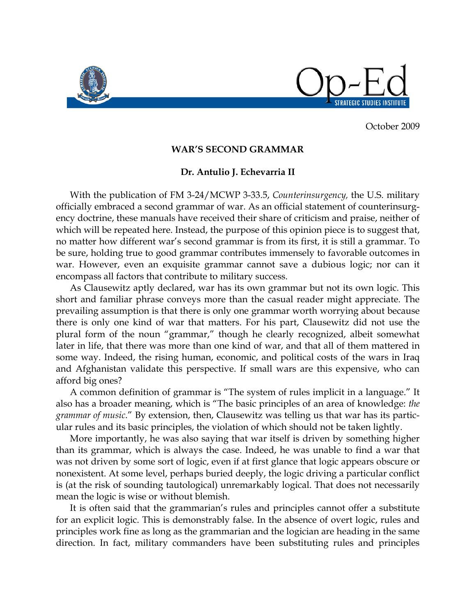

October 2009

## **WAR'S SECOND GRAMMAR**

## **Dr. Antulio J. Echevarria II**

With the publication of FM 3-24/MCWP 3-33.5, *Counterinsurgency,* the U.S. military officially embraced a second grammar of war. As an official statement of counterinsurgency doctrine, these manuals have received their share of criticism and praise, neither of which will be repeated here. Instead, the purpose of this opinion piece is to suggest that, no matter how different war's second grammar is from its first, it is still a grammar. To be sure, holding true to good grammar contributes immensely to favorable outcomes in war. However, even an exquisite grammar cannot save a dubious logic; nor can it encompass all factors that contribute to military success.

As Clausewitz aptly declared, war has its own grammar but not its own logic. This short and familiar phrase conveys more than the casual reader might appreciate. The prevailing assumption is that there is only one grammar worth worrying about because there is only one kind of war that matters. For his part, Clausewitz did not use the plural form of the noun "grammar," though he clearly recognized, albeit somewhat later in life, that there was more than one kind of war, and that all of them mattered in some way. Indeed, the rising human, economic, and political costs of the wars in Iraq and Afghanistan validate this perspective. If small wars are this expensive, who can afford big ones?

A common definition of grammar is "The system of rules implicit in a language." It also has a broader meaning, which is "The basic principles of an area of knowledge: *the grammar of music*." By extension, then, Clausewitz was telling us that war has its particular rules and its basic principles, the violation of which should not be taken lightly.

More importantly, he was also saying that war itself is driven by something higher than its grammar, which is always the case. Indeed, he was unable to find a war that was not driven by some sort of logic, even if at first glance that logic appears obscure or nonexistent. At some level, perhaps buried deeply, the logic driving a particular conflict is (at the risk of sounding tautological) unremarkably logical. That does not necessarily mean the logic is wise or without blemish.

It is often said that the grammarian's rules and principles cannot offer a substitute for an explicit logic. This is demonstrably false. In the absence of overt logic, rules and principles work fine as long as the grammarian and the logician are heading in the same direction. In fact, military commanders have been substituting rules and principles